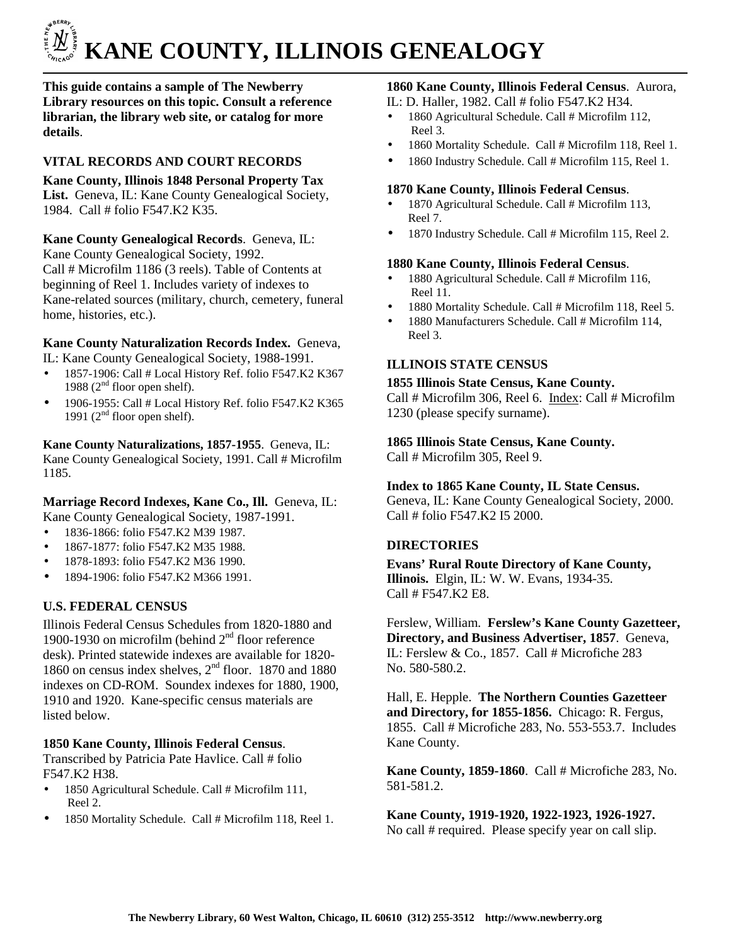# í.  **KANE COUNTY, ILLINOIS GENEALOGY**

**This guide contains a sample of The Newberry Library resources on this topic. Consult a reference librarian, the library web site, or catalog for more details**.

# **VITAL RECORDS AND COURT RECORDS**

**Kane County, Illinois 1848 Personal Property Tax**  List. Geneva, IL: Kane County Genealogical Society, 1984. Call # folio F547.K2 K35.

**Kane County Genealogical Records**. Geneva, IL: Kane County Genealogical Society, 1992. Call # Microfilm 1186 (3 reels). Table of Contents at beginning of Reel 1. Includes variety of indexes to Kane-related sources (military, church, cemetery, funeral home, histories, etc.).

# **Kane County Naturalization Records Index.** Geneva,

IL: Kane County Genealogical Society, 1988-1991.

- $\bullet$  1857-1906: Call # Local History Ref. folio F547.K2 K367 1988 ( $2<sup>nd</sup>$  floor open shelf).
- $\bullet$  1906-1955: Call # Local History Ref. folio F547.K2 K365 1991 ( $2<sup>nd</sup>$  floor open shelf).

**Kane County Naturalizations, 1857-1955**. Geneva, IL: Kane County Genealogical Society, 1991. Call # Microfilm 1185.

# **Marriage Record Indexes, Kane Co., Ill.** Geneva, IL: Kane County Genealogical Society, 1987-1991.

- 1836-1866: folio F547.K2 M39 1987.
- 1867-1877: folio F547.K2 M35 1988.
- 1878-1893: folio F547.K2 M36 1990.
- 1894-1906: folio F547.K2 M366 1991.

# **U.S. FEDERAL CENSUS**

Illinois Federal Census Schedules from 1820-1880 and 1900-1930 on microfilm (behind  $2<sup>nd</sup>$  floor reference desk). Printed statewide indexes are available for 1820- 1860 on census index shelves,  $2<sup>nd</sup>$  floor. 1870 and 1880 indexes on CD-ROM. Soundex indexes for 1880, 1900, 1910 and 1920. Kane-specific census materials are listed below.

# **1850 Kane County, Illinois Federal Census**.

Transcribed by Patricia Pate Havlice. Call # folio F547.K2 H38.

- 1850 Agricultural Schedule. Call # Microfilm 111, Reel 2.
- 1850 Mortality Schedule. Call # Microfilm 118, Reel 1.

## **1860 Kane County, Illinois Federal Census**. Aurora,

IL: D. Haller, 1982. Call # folio F547.K2 H34.

- 1860 Agricultural Schedule. Call # Microfilm 112, Reel 3.
- 1860 Mortality Schedule. Call # Microfilm 118, Reel 1.
- 1860 Industry Schedule. Call # Microfilm 115, Reel 1.

## **1870 Kane County, Illinois Federal Census**.

- 1870 Agricultural Schedule. Call # Microfilm 113, Reel 7.
- 1870 Industry Schedule. Call # Microfilm 115, Reel 2.

## **1880 Kane County, Illinois Federal Census**.

- 1880 Agricultural Schedule. Call # Microfilm 116, Reel 11.
- 1880 Mortality Schedule. Call # Microfilm 118, Reel 5.
- 1880 Manufacturers Schedule. Call # Microfilm 114, Reel 3.

# **ILLINOIS STATE CENSUS**

#### **1855 Illinois State Census, Kane County.**

Call # Microfilm 306, Reel 6. Index: Call # Microfilm 1230 (please specify surname).

# **1865 Illinois State Census, Kane County.**

Call # Microfilm 305, Reel 9.

## **Index to 1865 Kane County, IL State Census.**

Geneva, IL: Kane County Genealogical Society, 2000. Call # folio F547.K2 I5 2000.

# **DIRECTORIES**

**Evans' Rural Route Directory of Kane County, Illinois.** Elgin, IL: W. W. Evans, 1934-35. Call # F547.K2 E8.

Ferslew, William. **Ferslew's Kane County Gazetteer, Directory, and Business Advertiser, 1857**. Geneva, IL: Ferslew & Co., 1857. Call # Microfiche 283 No. 580-580.2.

Hall, E. Hepple. **The Northern Counties Gazetteer and Directory, for 1855-1856.** Chicago: R. Fergus, 1855. Call # Microfiche 283, No. 553-553.7. Includes Kane County.

**Kane County, 1859-1860**. Call # Microfiche 283, No. 581-581.2.

**Kane County, 1919-1920, 1922-1923, 1926-1927.**  No call # required. Please specify year on call slip.